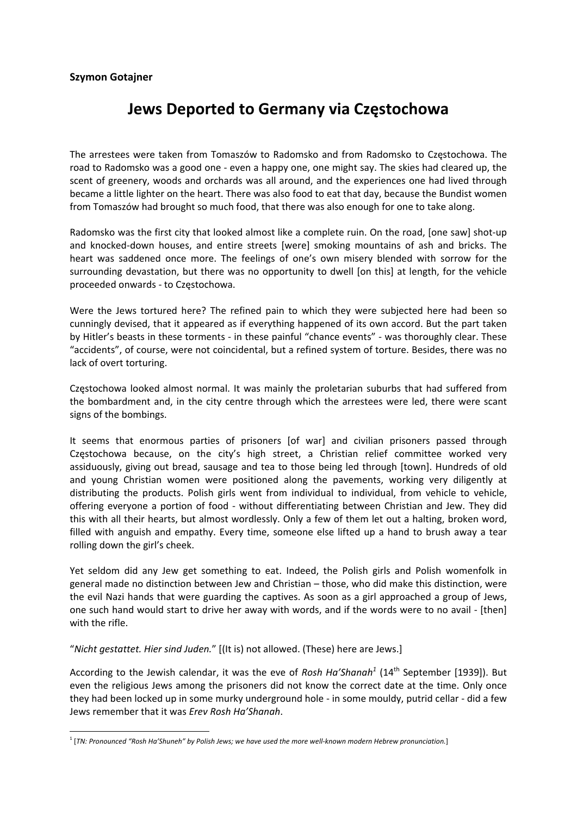## **Szymon Gotajner**

## **Jews Deported to Germany via Częstochowa**

The arrestees were taken from Tomaszów to Radomsko and from Radomsko to Częstochowa. The road to Radomsko was a good one ‐ even a happy one, one might say. The skies had cleared up, the scent of greenery, woods and orchards was all around, and the experiences one had lived through became a little lighter on the heart. There was also food to eat that day, because the Bundist women from Tomaszów had brought so much food, that there was also enough for one to take along.

Radomsko was the first city that looked almost like a complete ruin. On the road, [one saw] shot‐up and knocked‐down houses, and entire streets [were] smoking mountains of ash and bricks. The heart was saddened once more. The feelings of one's own misery blended with sorrow for the surrounding devastation, but there was no opportunity to dwell [on this] at length, for the vehicle proceeded onwards ‐ to Częstochowa.

Were the Jews tortured here? The refined pain to which they were subjected here had been so cunningly devised, that it appeared as if everything happened of its own accord. But the part taken by Hitler's beasts in these torments ‐ in these painful "chance events" ‐ was thoroughly clear. These "accidents", of course, were not coincidental, but a refined system of torture. Besides, there was no lack of overt torturing.

Częstochowa looked almost normal. It was mainly the proletarian suburbs that had suffered from the bombardment and, in the city centre through which the arrestees were led, there were scant signs of the bombings.

It seems that enormous parties of prisoners [of war] and civilian prisoners passed through Częstochowa because, on the city's high street, a Christian relief committee worked very assiduously, giving out bread, sausage and tea to those being led through [town]. Hundreds of old and young Christian women were positioned along the pavements, working very diligently at distributing the products. Polish girls went from individual to individual, from vehicle to vehicle, offering everyone a portion of food ‐ without differentiating between Christian and Jew. They did this with all their hearts, but almost wordlessly. Only a few of them let out a halting, broken word, filled with anguish and empathy. Every time, someone else lifted up a hand to brush away a tear rolling down the girl's cheek.

Yet seldom did any Jew get something to eat. Indeed, the Polish girls and Polish womenfolk in general made no distinction between Jew and Christian – those, who did make this distinction, were the evil Nazi hands that were guarding the captives. As soon as a girl approached a group of Jews, one such hand would start to drive her away with words, and if the words were to no avail ‐ [then] with the rifle.

"*Nicht gestattet. Hier sind Juden.*" [(It is) not allowed. (These) here are Jews.]

According to the Jewish calendar, it was the eve of *Rosh Ha'Shanah<sup>1</sup>* (14th September [1939]). But even the religious Jews among the prisoners did not know the correct date at the time. Only once they had been locked up in some murky underground hole ‐ in some mouldy, putrid cellar ‐ did a few Jews remember that it was *Erev Rosh Ha'Shanah*.

<sup>&</sup>lt;sup>1</sup> [TN: Pronounced "Rosh Ha'Shuneh" by Polish Jews; we have used the more well-known modern Hebrew pronunciation.]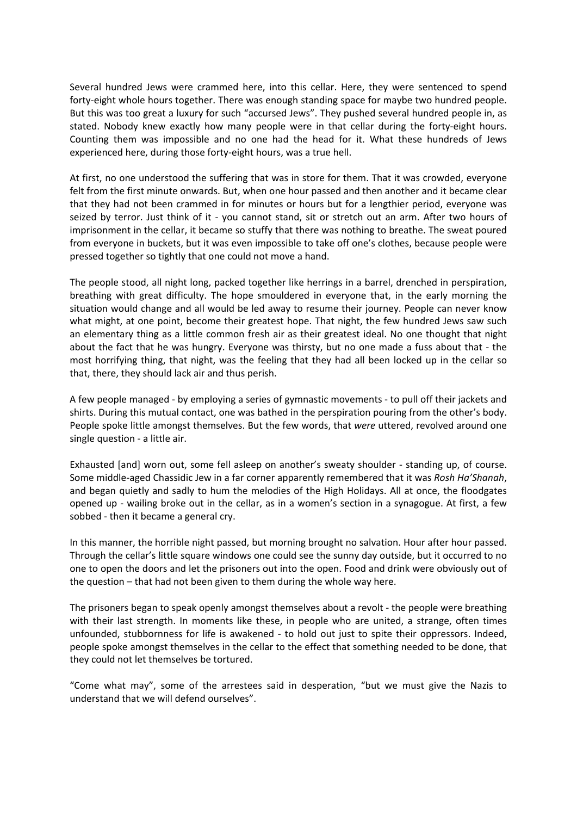Several hundred Jews were crammed here, into this cellar. Here, they were sentenced to spend forty-eight whole hours together. There was enough standing space for maybe two hundred people. But this was too great a luxury for such "accursed Jews". They pushed several hundred people in, as stated. Nobody knew exactly how many people were in that cellar during the forty-eight hours. Counting them was impossible and no one had the head for it. What these hundreds of Jews experienced here, during those forty-eight hours, was a true hell.

At first, no one understood the suffering that was in store for them. That it was crowded, everyone felt from the first minute onwards. But, when one hour passed and then another and it became clear that they had not been crammed in for minutes or hours but for a lengthier period, everyone was seized by terror. Just think of it - you cannot stand, sit or stretch out an arm. After two hours of imprisonment in the cellar, it became so stuffy that there was nothing to breathe. The sweat poured from everyone in buckets, but it was even impossible to take off one's clothes, because people were pressed together so tightly that one could not move a hand.

The people stood, all night long, packed together like herrings in a barrel, drenched in perspiration, breathing with great difficulty. The hope smouldered in everyone that, in the early morning the situation would change and all would be led away to resume their journey. People can never know what might, at one point, become their greatest hope. That night, the few hundred Jews saw such an elementary thing as a little common fresh air as their greatest ideal. No one thought that night about the fact that he was hungry. Everyone was thirsty, but no one made a fuss about that ‐ the most horrifying thing, that night, was the feeling that they had all been locked up in the cellar so that, there, they should lack air and thus perish.

A few people managed ‐ by employing a series of gymnastic movements ‐ to pull off their jackets and shirts. During this mutual contact, one was bathed in the perspiration pouring from the other's body. People spoke little amongst themselves. But the few words, that *were* uttered, revolved around one single question ‐ a little air.

Exhausted [and] worn out, some fell asleep on another's sweaty shoulder ‐ standing up, of course. Some middle‐aged Chassidic Jew in a far corner apparently remembered that it was *Rosh Ha'Shanah*, and began quietly and sadly to hum the melodies of the High Holidays. All at once, the floodgates opened up - wailing broke out in the cellar, as in a women's section in a synagogue. At first, a few sobbed ‐ then it became a general cry.

In this manner, the horrible night passed, but morning brought no salvation. Hour after hour passed. Through the cellar's little square windows one could see the sunny day outside, but it occurred to no one to open the doors and let the prisoners out into the open. Food and drink were obviously out of the question – that had not been given to them during the whole way here.

The prisoners began to speak openly amongst themselves about a revolt ‐ the people were breathing with their last strength. In moments like these, in people who are united, a strange, often times unfounded, stubbornness for life is awakened - to hold out just to spite their oppressors. Indeed, people spoke amongst themselves in the cellar to the effect that something needed to be done, that they could not let themselves be tortured.

"Come what may", some of the arrestees said in desperation, "but we must give the Nazis to understand that we will defend ourselves".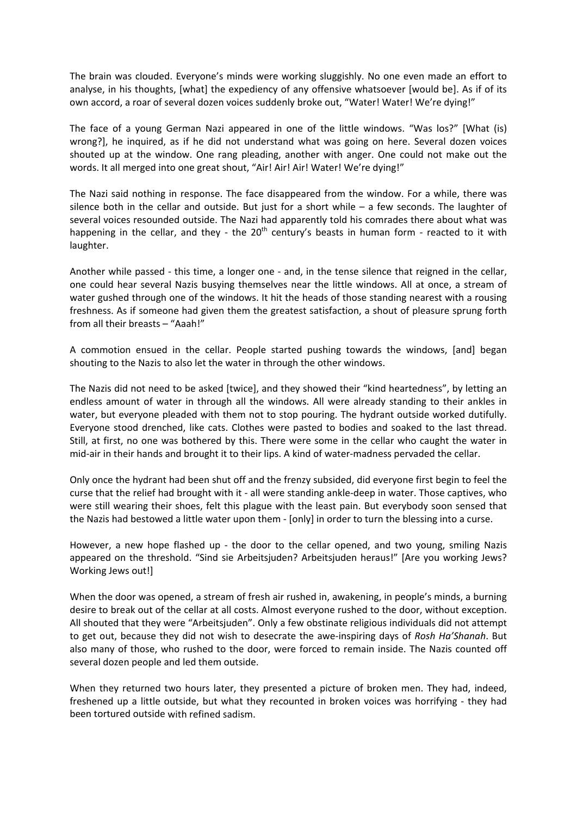The brain was clouded. Everyone's minds were working sluggishly. No one even made an effort to analyse, in his thoughts, [what] the expediency of any offensive whatsoever [would be]. As if of its own accord, a roar of several dozen voices suddenly broke out, "Water! Water! We're dying!"

The face of a young German Nazi appeared in one of the little windows. "Was los?" [What (is) wrong?], he inquired, as if he did not understand what was going on here. Several dozen voices shouted up at the window. One rang pleading, another with anger. One could not make out the words. It all merged into one great shout, "Air! Air! Air! Water! We're dying!"

The Nazi said nothing in response. The face disappeared from the window. For a while, there was silence both in the cellar and outside. But just for a short while  $-$  a few seconds. The laughter of several voices resounded outside. The Nazi had apparently told his comrades there about what was happening in the cellar, and they - the  $20<sup>th</sup>$  century's beasts in human form - reacted to it with laughter.

Another while passed ‐ this time, a longer one ‐ and, in the tense silence that reigned in the cellar, one could hear several Nazis busying themselves near the little windows. All at once, a stream of water gushed through one of the windows. It hit the heads of those standing nearest with a rousing freshness. As if someone had given them the greatest satisfaction, a shout of pleasure sprung forth from all their breasts – "Aaah!"

A commotion ensued in the cellar. People started pushing towards the windows, [and] began shouting to the Nazis to also let the water in through the other windows.

The Nazis did not need to be asked [twice], and they showed their "kind heartedness", by letting an endless amount of water in through all the windows. All were already standing to their ankles in water, but everyone pleaded with them not to stop pouring. The hydrant outside worked dutifully. Everyone stood drenched, like cats. Clothes were pasted to bodies and soaked to the last thread. Still, at first, no one was bothered by this. There were some in the cellar who caught the water in mid‐air in their hands and brought it to their lips. A kind of water‐madness pervaded the cellar.

Only once the hydrant had been shut off and the frenzy subsided, did everyone first begin to feel the curse that the relief had brought with it - all were standing ankle-deep in water. Those captives, who were still wearing their shoes, felt this plague with the least pain. But everybody soon sensed that the Nazis had bestowed a little water upon them ‐ [only] in order to turn the blessing into a curse.

However, a new hope flashed up - the door to the cellar opened, and two young, smiling Nazis appeared on the threshold. "Sind sie Arbeitsjuden? Arbeitsjuden heraus!" [Are you working Jews? Working Jews out!]

When the door was opened, a stream of fresh air rushed in, awakening, in people's minds, a burning desire to break out of the cellar at all costs. Almost everyone rushed to the door, without exception. All shouted that they were "Arbeitsjuden". Only a few obstinate religious individuals did not attempt to get out, because they did not wish to desecrate the awe‐inspiring days of *Rosh Ha'Shanah*. But also many of those, who rushed to the door, were forced to remain inside. The Nazis counted off several dozen people and led them outside.

When they returned two hours later, they presented a picture of broken men. They had, indeed, freshened up a little outside, but what they recounted in broken voices was horrifying ‐ they had been tortured outside with refined sadism.